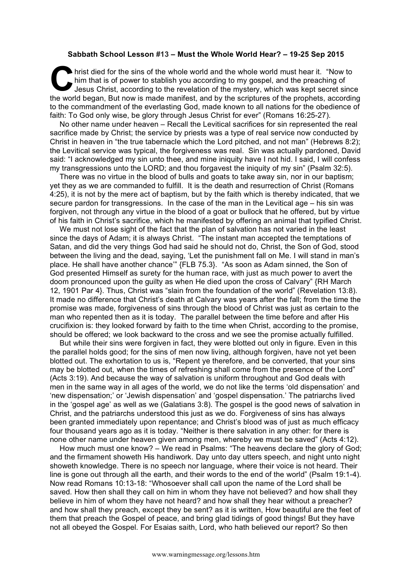## **Sabbath School Lesson #13 – Must the Whole World Hear? – 19-25 Sep 2015**

hrist died for the sins of the whole world and the whole world must hear it. "Now to him that is of power to stablish you according to my gospel, and the preaching of Jesus Christ, according to the revelation of the myster him that is of power to stablish you according to my gospel, and the preaching of Jesus Christ, according to the revelation of the mystery, which was kept secret since the world began, But now is made manifest, and by the scriptures of the prophets, according to the commandment of the everlasting God, made known to all nations for the obedience of faith: To God only wise, be glory through Jesus Christ for ever" (Romans 16:25-27).

No other name under heaven – Recall the Levitical sacrifices for sin represented the real sacrifice made by Christ; the service by priests was a type of real service now conducted by Christ in heaven in "the true tabernacle which the Lord pitched, and not man" (Hebrews 8:2); the Levitical service was typical, the forgiveness was real. Sin was actually pardoned, David said: "I acknowledged my sin unto thee, and mine iniquity have I not hid. I said, I will confess my transgressions unto the LORD; and thou forgavest the iniquity of my sin" (Psalm 32:5).

There was no virtue in the blood of bulls and goats to take away sin, nor in our baptism; yet they as we are commanded to fulfill. It is the death and resurrection of Christ (Romans 4:25), it is not by the mere act of baptism, but by the faith which is thereby indicated, that we secure pardon for transgressions. In the case of the man in the Levitical age – his sin was forgiven, not through any virtue in the blood of a goat or bullock that he offered, but by virtue of his faith in Christ's sacrifice, which he manifested by offering an animal that typified Christ.

We must not lose sight of the fact that the plan of salvation has not varied in the least since the days of Adam; it is always Christ. "The instant man accepted the temptations of Satan, and did the very things God had said he should not do, Christ, the Son of God, stood between the living and the dead, saying, 'Let the punishment fall on Me. I will stand in man's place. He shall have another chance'" {FLB 75.3}. "As soon as Adam sinned, the Son of God presented Himself as surety for the human race, with just as much power to avert the doom pronounced upon the guilty as when He died upon the cross of Calvary" {RH March 12, 1901 Par 4}. Thus, Christ was "slain from the foundation of the world" (Revelation 13:8). It made no difference that Christ's death at Calvary was years after the fall; from the time the promise was made, forgiveness of sins through the blood of Christ was just as certain to the man who repented then as it is today. The parallel between the time before and after His crucifixion is: they looked forward by faith to the time when Christ, according to the promise, should be offered; we look backward to the cross and we see the promise actually fulfilled.

But while their sins were forgiven in fact, they were blotted out only in figure. Even in this the parallel holds good; for the sins of men now living, although forgiven, have not yet been blotted out. The exhortation to us is, "Repent ye therefore, and be converted, that your sins may be blotted out, when the times of refreshing shall come from the presence of the Lord" (Acts 3:19). And because the way of salvation is uniform throughout and God deals with men in the same way in all ages of the world, we do not like the terms 'old dispensation' and 'new dispensation;' or 'Jewish dispensation' and 'gospel dispensation.' The patriarchs lived in the 'gospel age' as well as we (Galatians 3:8). The gospel is the good news of salvation in Christ, and the patriarchs understood this just as we do. Forgiveness of sins has always been granted immediately upon repentance; and Christ's blood was of just as much efficacy four thousand years ago as it is today. "Neither is there salvation in any other: for there is none other name under heaven given among men, whereby we must be saved" (Acts 4:12).

How much must one know? – We read in Psalms: "The heavens declare the glory of God; and the firmament showeth His handiwork. Day unto day utters speech, and night unto night showeth knowledge. There is no speech nor language, where their voice is not heard. Their line is gone out through all the earth, and their words to the end of the world" (Psalm 19:1-4). Now read Romans 10:13-18: "Whosoever shall call upon the name of the Lord shall be saved. How then shall they call on him in whom they have not believed? and how shall they believe in him of whom they have not heard? and how shall they hear without a preacher? and how shall they preach, except they be sent? as it is written, How beautiful are the feet of them that preach the Gospel of peace, and bring glad tidings of good things! But they have not all obeyed the Gospel. For Esaias saith, Lord, who hath believed our report? So then